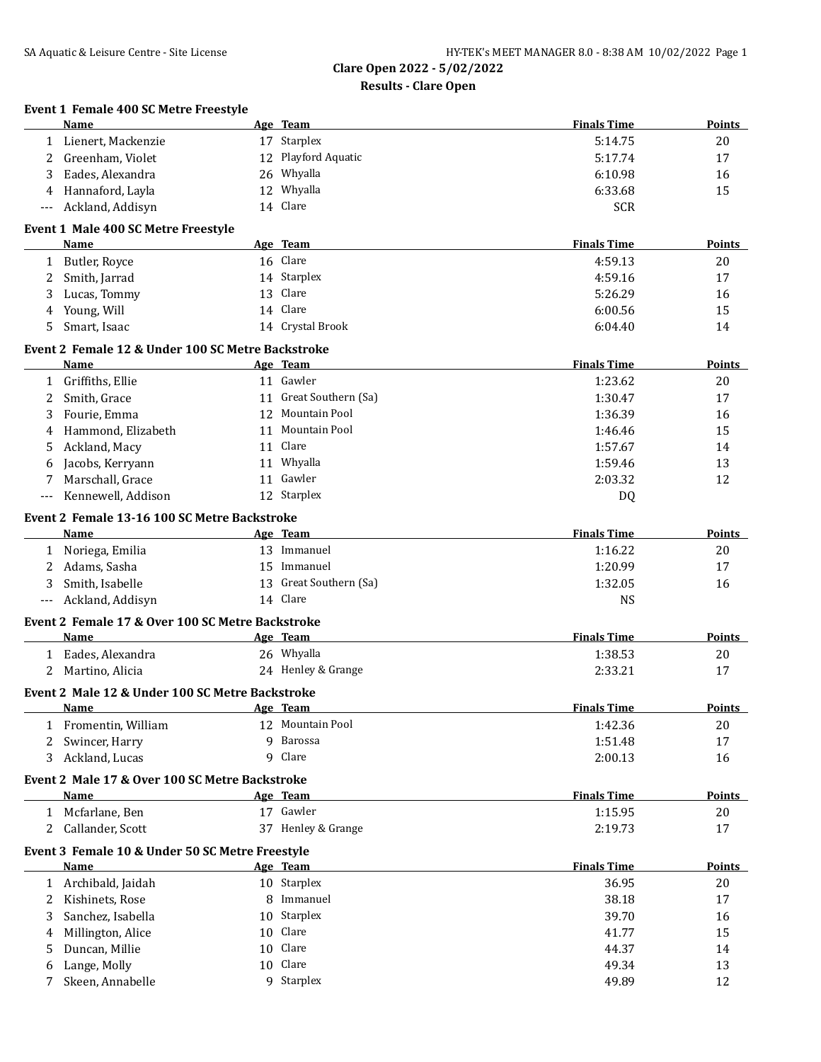|              | Event 1 Female 400 SC Metre Freestyle<br><b>Name</b>           |     | Age Team               | <b>Finals Time</b> | Points        |
|--------------|----------------------------------------------------------------|-----|------------------------|--------------------|---------------|
| 1            | Lienert, Mackenzie                                             |     | 17 Starplex            | 5:14.75            | 20            |
| 2            | Greenham, Violet                                               |     | 12 Playford Aquatic    | 5:17.74            | 17            |
| 3            | Eades, Alexandra                                               |     | 26 Whyalla             | 6:10.98            | 16            |
| 4            | Hannaford, Layla                                               | 12  | Whyalla                | 6:33.68            | 15            |
|              | Ackland, Addisyn                                               |     | 14 Clare               | <b>SCR</b>         |               |
|              | Event 1 Male 400 SC Metre Freestyle                            |     |                        |                    |               |
|              | Name                                                           |     | Age Team               | <b>Finals Time</b> | <b>Points</b> |
| 1            | Butler, Royce                                                  |     | 16 Clare               | 4:59.13            | 20            |
| 2            | Smith, Jarrad                                                  |     | 14 Starplex            | 4:59.16            | 17            |
| 3            | Lucas, Tommy                                                   |     | 13 Clare               | 5:26.29            | 16            |
| 4            | Young, Will                                                    |     | 14 Clare               | 6:00.56            | 15            |
| 5            | Smart, Isaac                                                   |     | 14 Crystal Brook       | 6:04.40            | 14            |
|              | Event 2 Female 12 & Under 100 SC Metre Backstroke              |     |                        |                    |               |
|              | <b>Name</b>                                                    |     | Age Team               | <b>Finals Time</b> | <b>Points</b> |
| $\mathbf{1}$ | Griffiths, Ellie                                               |     | 11 Gawler              | 1:23.62            | 20            |
| 2            | Smith, Grace                                                   |     | 11 Great Southern (Sa) | 1:30.47            | 17            |
| 3            | Fourie, Emma                                                   |     | 12 Mountain Pool       | 1:36.39            | 16            |
| 4            | Hammond, Elizabeth                                             |     | 11 Mountain Pool       | 1:46.46            | 15            |
| 5            | Ackland, Macy                                                  |     | 11 Clare               | 1:57.67            | 14            |
| 6            | Jacobs, Kerryann                                               |     | 11 Whyalla             | 1:59.46            | 13            |
| 7            | Marschall, Grace                                               |     | 11 Gawler              | 2:03.32            | 12            |
|              | Kennewell, Addison                                             |     | 12 Starplex            | DQ                 |               |
|              | Event 2 Female 13-16 100 SC Metre Backstroke                   |     |                        |                    |               |
|              | Name                                                           |     | Age Team               | <b>Finals Time</b> | <b>Points</b> |
| 1            | Noriega, Emilia                                                |     | 13 Immanuel            | 1:16.22            | 20            |
| 2            | Adams, Sasha                                                   |     | 15 Immanuel            | 1:20.99            | 17            |
| 3            | Smith, Isabelle                                                |     | 13 Great Southern (Sa) | 1:32.05            | 16            |
| ---          | Ackland, Addisyn                                               |     | 14 Clare               | <b>NS</b>          |               |
|              | Event 2 Female 17 & Over 100 SC Metre Backstroke               |     |                        |                    |               |
|              | <b>Name</b>                                                    |     | Age Team               | <b>Finals Time</b> | <b>Points</b> |
| 1            | Eades, Alexandra                                               |     | 26 Whyalla             | 1:38.53            | 20            |
| 2            | Martino, Alicia                                                |     | 24 Henley & Grange     | 2:33.21            | 17            |
|              | Event 2 Male 12 & Under 100 SC Metre Backstroke                |     |                        |                    |               |
|              | <u>Name</u>                                                    | Age | <b>Team</b>            | <b>Finals Time</b> | <b>Points</b> |
| 1            | Fromentin, William                                             |     | 12 Mountain Pool       | 1:42.36            | 20            |
| 2            | Swincer, Harry                                                 |     | 9 Barossa              | 1:51.48            | 17            |
| 3            | Ackland, Lucas                                                 |     | 9 Clare                | 2:00.13            | 16            |
|              | Event 2 Male 17 & Over 100 SC Metre Backstroke                 |     |                        |                    |               |
|              | <b>Name</b>                                                    |     | Age Team               | <b>Finals Time</b> | Points        |
| 1            | Mcfarlane, Ben                                                 |     | 17 Gawler              | 1:15.95            | 20            |
| 2            | Callander, Scott                                               |     | 37 Henley & Grange     | 2:19.73            | 17            |
|              | Event 3 Female 10 & Under 50 SC Metre Freestyle<br><b>Name</b> |     | Age Team               | <b>Finals Time</b> | <b>Points</b> |
|              | Archibald, Jaidah                                              |     | 10 Starplex            | 36.95              |               |
| 1            |                                                                |     | 8 Immanuel             |                    | 20            |
| 2            | Kishinets, Rose                                                |     | 10 Starplex            | 38.18              | 17            |
| 3            | Sanchez, Isabella                                              |     |                        | 39.70              | 16            |
| 4            | Millington, Alice                                              |     | 10 Clare<br>10 Clare   | 41.77              | 15            |
| 5            | Duncan, Millie                                                 |     |                        | 44.37              | 14            |
| 6            | Lange, Molly                                                   |     | 10 Clare               | 49.34              | 13            |
| 7            | Skeen, Annabelle                                               |     | 9 Starplex             | 49.89              | 12            |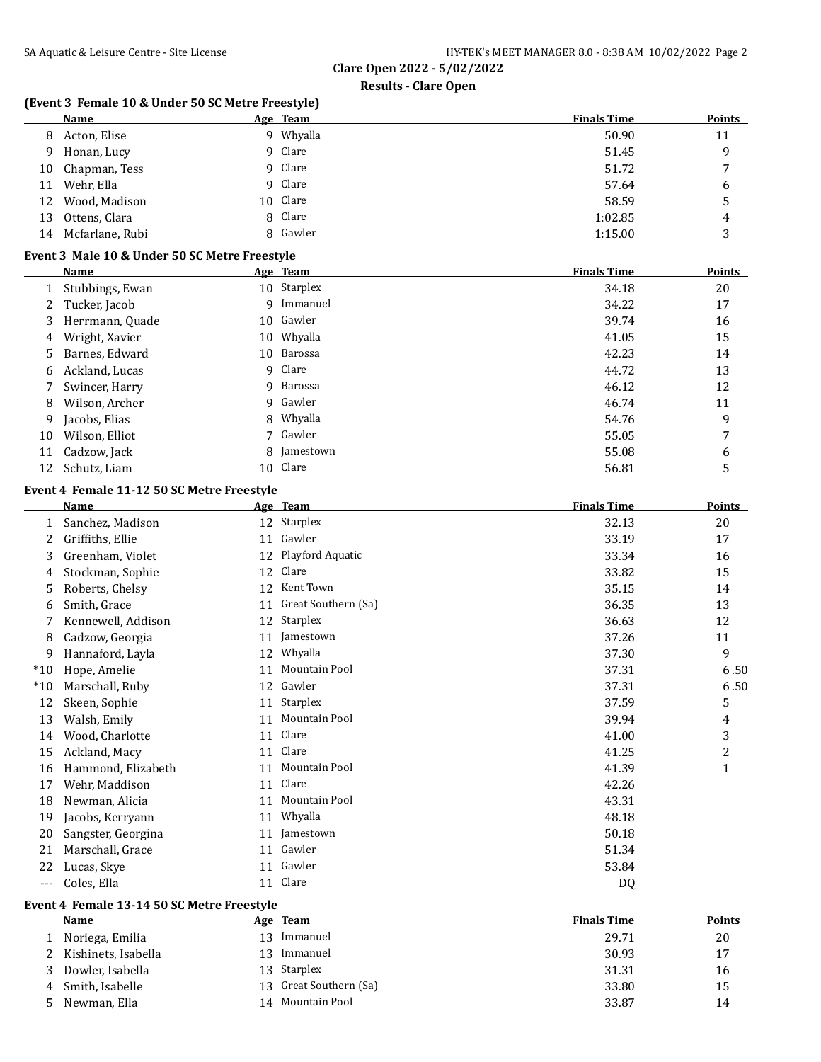### **Results - Clare Open**

### **(Event 3 Female 10 & Under 50 SC Metre Freestyle)**

|    | Name            |   | Age Team | <b>Finals Time</b> | <b>Points</b> |
|----|-----------------|---|----------|--------------------|---------------|
| 8  | Acton, Elise    | q | Whyalla  | 50.90              | 11            |
| 9  | Honan, Lucy     |   | 9 Clare  | 51.45              | q             |
| 10 | Chapman, Tess   |   | 9 Clare  | 51.72              | 7             |
| 11 | Wehr, Ella      |   | 9 Clare  | 57.64              | 6             |
| 12 | Wood, Madison   |   | 10 Clare | 58.59              | 5             |
| 13 | Ottens, Clara   |   | 8 Clare  | 1:02.85            | 4             |
| 14 | Mcfarlane, Rubi |   | 8 Gawler | 1:15.00            | 3             |

### **Event 3 Male 10 & Under 50 SC Metre Freestyle**

|    | <b>Name</b>     | Age Team    | <b>Finals Time</b> | <b>Points</b> |
|----|-----------------|-------------|--------------------|---------------|
|    | Stubbings, Ewan | 10 Starplex | 34.18              | 20            |
| 2  | Tucker, Jacob   | 9 Immanuel  | 34.22              | 17            |
| 3. | Herrmann, Quade | 10 Gawler   | 39.74              | 16            |
| 4  | Wright, Xavier  | 10 Whyalla  | 41.05              | 15            |
| 5. | Barnes, Edward  | 10 Barossa  | 42.23              | 14            |
| 6  | Ackland, Lucas  | 9 Clare     | 44.72              | 13            |
|    | Swincer, Harry  | 9 Barossa   | 46.12              | 12            |
| 8  | Wilson, Archer  | 9 Gawler    | 46.74              | 11            |
| 9  | Jacobs, Elias   | 8 Whyalla   | 54.76              | 9             |
| 10 | Wilson, Elliot  | 7 Gawler    | 55.05              | 7             |
| 11 | Cadzow, Jack    | 8 Jamestown | 55.08              | 6             |
| 12 | Schutz, Liam    | 10 Clare    | 56.81              | 5             |

### **Event 4 Female 11-12 50 SC Metre Freestyle**

|       | Name               | Age | <b>Team</b>          | <b>Finals Time</b> | <b>Points</b>  |
|-------|--------------------|-----|----------------------|--------------------|----------------|
| 1     | Sanchez, Madison   | 12  | Starplex             | 32.13              | 20             |
| 2     | Griffiths, Ellie   | 11  | Gawler               | 33.19              | 17             |
| 3     | Greenham, Violet   | 12  | Playford Aquatic     | 33.34              | 16             |
| 4     | Stockman, Sophie   | 12  | Clare                | 33.82              | 15             |
| 5     | Roberts, Chelsy    | 12  | Kent Town            | 35.15              | 14             |
| 6     | Smith, Grace       | 11  | Great Southern (Sa)  | 36.35              | 13             |
|       | Kennewell, Addison | 12  | Starplex             | 36.63              | 12             |
| 8     | Cadzow, Georgia    | 11  | Jamestown            | 37.26              | 11             |
| 9     | Hannaford, Layla   | 12  | Whyalla              | 37.30              | 9              |
| $*10$ | Hope, Amelie       | 11  | <b>Mountain Pool</b> | 37.31              | 6.50           |
| $*10$ | Marschall, Ruby    | 12  | Gawler               | 37.31              | 6.50           |
| 12    | Skeen, Sophie      | 11  | Starplex             | 37.59              | 5              |
| 13    | Walsh, Emily       | 11  | Mountain Pool        | 39.94              | 4              |
| 14    | Wood, Charlotte    | 11  | Clare                | 41.00              | 3              |
| 15    | Ackland, Macy      | 11  | Clare                | 41.25              | $\overline{c}$ |
| 16    | Hammond, Elizabeth | 11  | Mountain Pool        | 41.39              | $\mathbf{1}$   |
| 17    | Wehr, Maddison     | 11  | Clare                | 42.26              |                |
| 18    | Newman, Alicia     | 11  | Mountain Pool        | 43.31              |                |
| 19    | Jacobs, Kerryann   | 11  | Whyalla              | 48.18              |                |
| 20    | Sangster, Georgina | 11  | Jamestown            | 50.18              |                |
| 21    | Marschall, Grace   | 11  | Gawler               | 51.34              |                |
| 22    | Lucas, Skye        | 11  | Gawler               | 53.84              |                |
| $---$ | Coles, Ella        | 11  | Clare                | <b>DQ</b>          |                |

### **Event 4 Female 13-14 50 SC Metre Freestyle**

| Name                  |     | <b>Finals Time</b>                                                                               | <b>Points</b> |
|-----------------------|-----|--------------------------------------------------------------------------------------------------|---------------|
| Noriega, Emilia       |     | 29.71                                                                                            | 20            |
| 2 Kishinets, Isabella | 13. | 30.93                                                                                            | 17            |
| Dowler, Isabella      |     | 31.31                                                                                            | 16            |
| 4 Smith, Isabelle     |     | 33.80                                                                                            | 15            |
| Newman, Ella          | 14  | 33.87                                                                                            | 14            |
|                       |     | Age Team<br>Immanuel<br>13<br>Immanuel<br>13 Starplex<br>13 Great Southern (Sa)<br>Mountain Pool |               |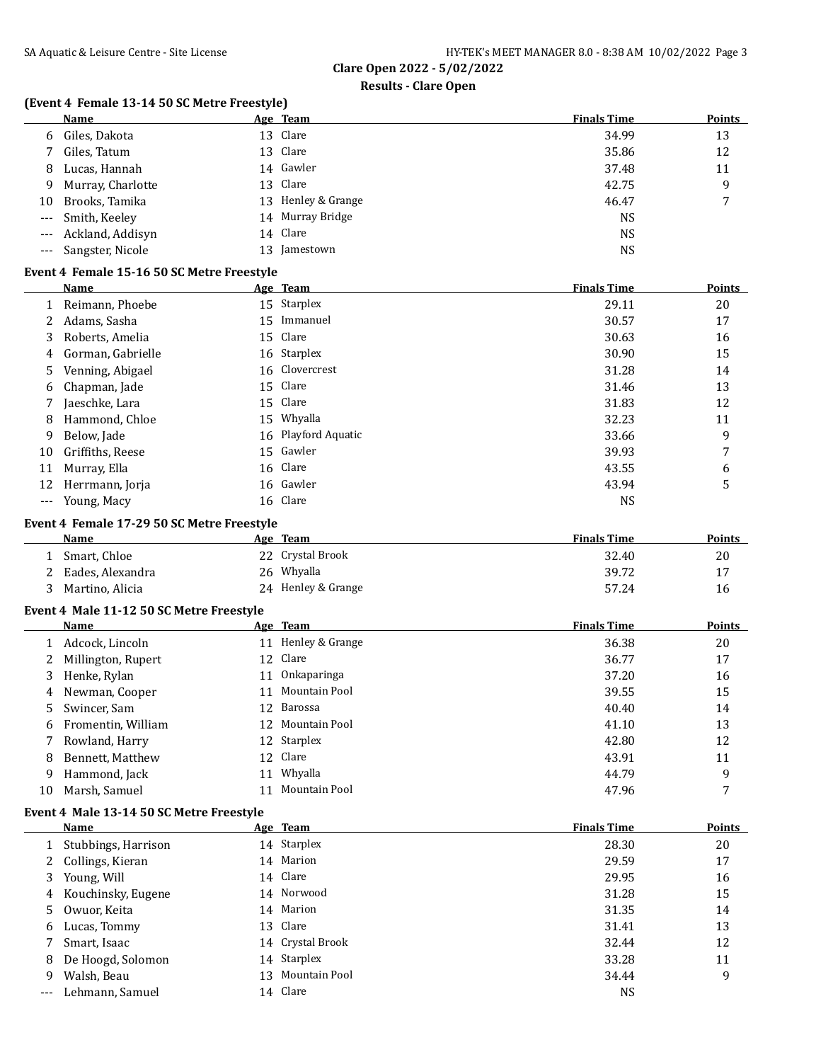### **Results - Clare Open**

## **(Event 4 Female 13-14 50 SC Metre Freestyle)**

|    | Name                 | Age Team           | <b>Finals Time</b> | <b>Points</b> |
|----|----------------------|--------------------|--------------------|---------------|
| 6  | Giles, Dakota        | 13 Clare           | 34.99              | 13            |
|    | 7 Giles, Tatum       | 13 Clare           | 35.86              | 12            |
| 8  | Lucas, Hannah        | 14 Gawler          | 37.48              | 11            |
|    | 9 Murray, Charlotte  | 13 Clare           | 42.75              | 9             |
| 10 | Brooks, Tamika       | 13 Henley & Grange | 46.47              |               |
|    | --- Smith, Keeley    | 14 Murray Bridge   | <b>NS</b>          |               |
|    | --- Ackland, Addisyn | 14 Clare           | <b>NS</b>          |               |
|    | --- Sangster, Nicole | 13 Jamestown       | <b>NS</b>          |               |

#### **Event 4 Female 15-16 50 SC Metre Freestyle**

|     | Name              | Age Team            | <b>Finals Time</b> | <b>Points</b> |
|-----|-------------------|---------------------|--------------------|---------------|
|     | Reimann, Phoebe   | 15 Starplex         | 29.11              | 20            |
| 2   | Adams, Sasha      | 15 Immanuel         | 30.57              | 17            |
| 3   | Roberts, Amelia   | 15 Clare            | 30.63              | 16            |
| 4   | Gorman, Gabrielle | 16 Starplex         | 30.90              | 15            |
| 5.  | Venning, Abigael  | 16 Clovercrest      | 31.28              | 14            |
| 6   | Chapman, Jade     | 15 Clare            | 31.46              | 13            |
|     | Jaeschke, Lara    | 15 Clare            | 31.83              | 12            |
| 8   | Hammond, Chloe    | 15 Whyalla          | 32.23              | 11            |
| 9   | Below, Jade       | 16 Playford Aquatic | 33.66              | 9             |
| 10  | Griffiths, Reese  | 15 Gawler           | 39.93              | 7             |
| 11  | Murray, Ella      | 16 Clare            | 43.55              | 6             |
| 12  | Herrmann, Jorja   | 16 Gawler           | 43.94              | 5             |
| --- | Young, Macy       | 16 Clare            | NS                 |               |

### **Event 4 Female 17-29 50 SC Metre Freestyle**

| <b>Name</b>      | Age Team           | <b>Finals Time</b> | Points |
|------------------|--------------------|--------------------|--------|
| Smart. Chloe     | 22 Crystal Brook   | 32.40              | 20     |
| Eades, Alexandra | 26 Whyalla         | 39.72              | 17     |
| Martino, Alicia  | 24 Henley & Grange | 57.24              | 16     |

### **Event 4 Male 11-12 50 SC Metre Freestyle**

|    | <b>Name</b>          |    | Age Team           | <b>Finals Time</b> | <b>Points</b> |
|----|----------------------|----|--------------------|--------------------|---------------|
|    | 1 Adcock, Lincoln    |    | 11 Henley & Grange | 36.38              | 20            |
|    | 2 Millington, Rupert |    | 12 Clare           | 36.77              | 17            |
|    | 3 Henke, Rylan       | 11 | Onkaparinga        | 37.20              | 16            |
|    | 4 Newman, Cooper     | 11 | Mountain Pool      | 39.55              | 15            |
|    | 5 Swincer, Sam       |    | 12 Barossa         | 40.40              | 14            |
|    | 6 Fromentin, William |    | 12 Mountain Pool   | 41.10              | 13            |
|    | Rowland, Harry       |    | 12 Starplex        | 42.80              | 12            |
| 8  | Bennett, Matthew     |    | 12 Clare           | 43.91              | 11            |
| 9  | Hammond, Jack        | 11 | Whyalla            | 44.79              | 9             |
| 10 | Marsh, Samuel        |    | Mountain Pool      | 47.96              |               |

### **Event 4 Male 13-14 50 SC Metre Freestyle**

|       | Name                |    | Age Team         | <b>Finals Time</b> | <b>Points</b> |
|-------|---------------------|----|------------------|--------------------|---------------|
|       | Stubbings, Harrison |    | 14 Starplex      | 28.30              | 20            |
|       | Collings, Kieran    |    | 14 Marion        | 29.59              | 17            |
| 3     | Young, Will         |    | 14 Clare         | 29.95              | 16            |
| 4     | Kouchinsky, Eugene  |    | 14 Norwood       | 31.28              | 15            |
| 5.    | Owuor, Keita        |    | 14 Marion        | 31.35              | 14            |
| 6     | Lucas, Tommy        |    | 13 Clare         | 31.41              | 13            |
|       | Smart, Isaac        |    | 14 Crystal Brook | 32.44              | 12            |
| 8     | De Hoogd, Solomon   |    | 14 Starplex      | 33.28              | 11            |
| 9     | Walsh, Beau         | 13 | Mountain Pool    | 34.44              | 9             |
| $---$ | Lehmann, Samuel     |    | 14 Clare         | NS                 |               |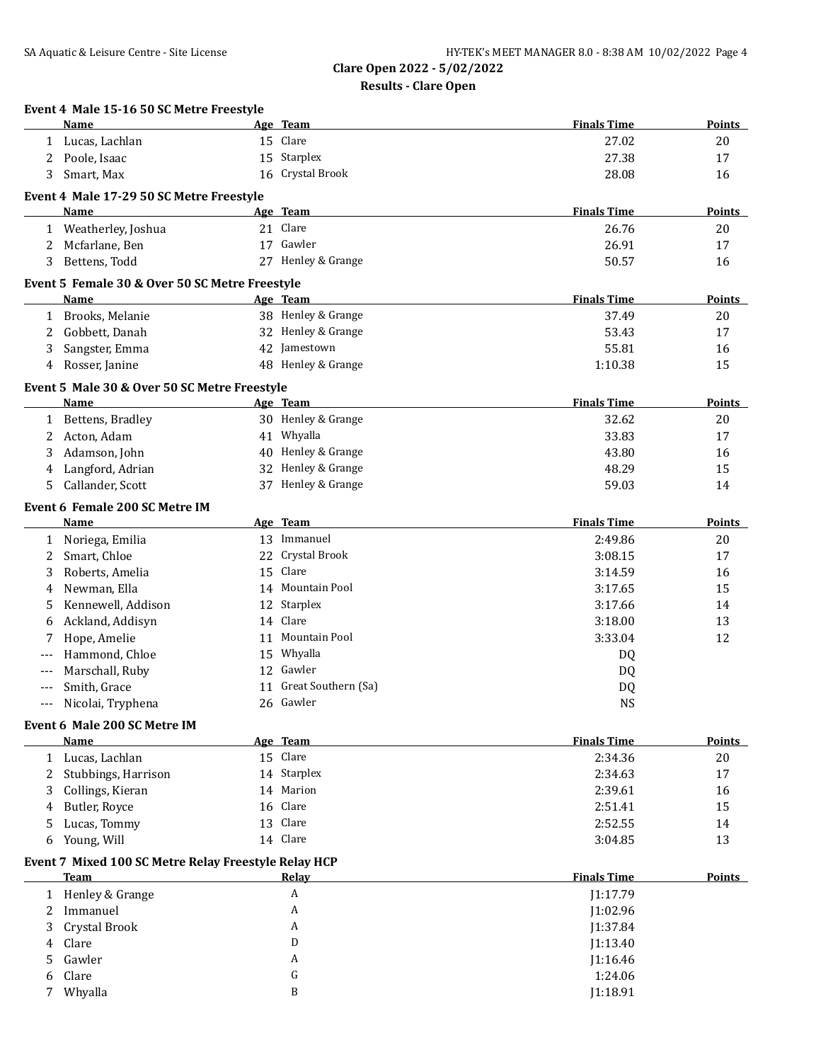|   | Event 4 Male 15-16 50 SC Metre Freestyle<br>Name     | Age Team                | <b>Finals Time</b> | <b>Points</b> |
|---|------------------------------------------------------|-------------------------|--------------------|---------------|
|   | 1 Lucas, Lachlan                                     | 15 Clare                | 27.02              | 20            |
| 2 | Poole, Isaac                                         | 15 Starplex             | 27.38              | 17            |
| 3 | Smart, Max                                           | 16 Crystal Brook        | 28.08              | 16            |
|   | Event 4 Male 17-29 50 SC Metre Freestyle             |                         |                    |               |
|   | Name                                                 | Age Team                | <b>Finals Time</b> | <b>Points</b> |
|   | 1 Weatherley, Joshua                                 | 21 Clare                | 26.76              | 20            |
| 2 | Mcfarlane, Ben                                       | 17 Gawler               | 26.91              | 17            |
| 3 | Bettens, Todd                                        | 27 Henley & Grange      | 50.57              | 16            |
|   | Event 5 Female 30 & Over 50 SC Metre Freestyle       |                         |                    |               |
|   | Name                                                 | Age Team                | <b>Finals Time</b> | <b>Points</b> |
|   | 1 Brooks, Melanie                                    | 38 Henley & Grange      | 37.49              | 20            |
| 2 | Gobbett, Danah                                       | 32 Henley & Grange      | 53.43              | 17            |
| 3 | Sangster, Emma                                       | 42 Jamestown            | 55.81              | 16            |
| 4 | Rosser, Janine                                       | 48 Henley & Grange      | 1:10.38            | 15            |
|   | Event 5 Male 30 & Over 50 SC Metre Freestyle         |                         |                    |               |
|   | Name                                                 | Age Team                | <b>Finals Time</b> | Points        |
|   | 1 Bettens, Bradley                                   | 30 Henley & Grange      | 32.62              | 20            |
| 2 | Acton, Adam                                          | 41 Whyalla              | 33.83              | 17            |
| 3 | Adamson, John                                        | 40 Henley & Grange      | 43.80              | 16            |
| 4 | Langford, Adrian                                     | 32 Henley & Grange      | 48.29              | 15            |
| 5 | Callander, Scott                                     | 37 Henley & Grange      | 59.03              | 14            |
|   | Event 6 Female 200 SC Metre IM                       | Age Team                | <b>Finals Time</b> | <b>Points</b> |
|   | Name                                                 | 13 Immanuel             |                    |               |
|   | 1 Noriega, Emilia                                    | 22 Crystal Brook        | 2:49.86            | 20<br>17      |
| 2 | Smart, Chloe                                         | 15 Clare                | 3:08.15            |               |
| 3 | Roberts, Amelia<br>Newman, Ella                      | 14 Mountain Pool        | 3:14.59            | 16            |
| 4 | Kennewell, Addison                                   |                         | 3:17.65            | 15            |
| 5 |                                                      | 12 Starplex<br>14 Clare | 3:17.66            | 14            |
| 6 | Ackland, Addisyn                                     | 11 Mountain Pool        | 3:18.00            | 13            |
| 7 | Hope, Amelie<br>Hammond, Chloe                       | 15 Whyalla              | 3:33.04            | 12            |
|   |                                                      | 12 Gawler               | DQ                 |               |
|   | Marschall, Ruby                                      | 11 Great Southern (Sa)  | DQ                 |               |
|   | Smith, Grace                                         | 26 Gawler               | DQ<br><b>NS</b>    |               |
|   | Nicolai, Tryphena                                    |                         |                    |               |
|   | Event 6 Male 200 SC Metre IM<br>Name                 | Age Team                | <b>Finals Time</b> | <b>Points</b> |
|   | 1 Lucas, Lachlan                                     | 15 Clare                | 2:34.36            | 20            |
|   | 2 Stubbings, Harrison                                | 14 Starplex             | 2:34.63            | 17            |
| 3 | Collings, Kieran                                     | 14 Marion               | 2:39.61            | 16            |
| 4 | Butler, Royce                                        | 16 Clare                | 2:51.41            | 15            |
| 5 | Lucas, Tommy                                         | 13 Clare                | 2:52.55            | 14            |
| 6 | Young, Will                                          | 14 Clare                | 3:04.85            | 13            |
|   | Event 7 Mixed 100 SC Metre Relay Freestyle Relay HCP |                         |                    |               |
|   | <b>Team</b>                                          | Relay                   | <b>Finals Time</b> | <b>Points</b> |
|   | 1 Henley & Grange                                    | A                       | J1:17.79           |               |
| 2 | Immanuel                                             | A                       | J1:02.96           |               |
| 3 | Crystal Brook                                        | A                       | J1:37.84           |               |
| 4 | Clare                                                | D                       | J1:13.40           |               |
| 5 | Gawler                                               | A                       | J1:16.46           |               |
| 6 | Clare                                                | G                       | 1:24.06            |               |
| 7 | Whyalla                                              | B                       | J1:18.91           |               |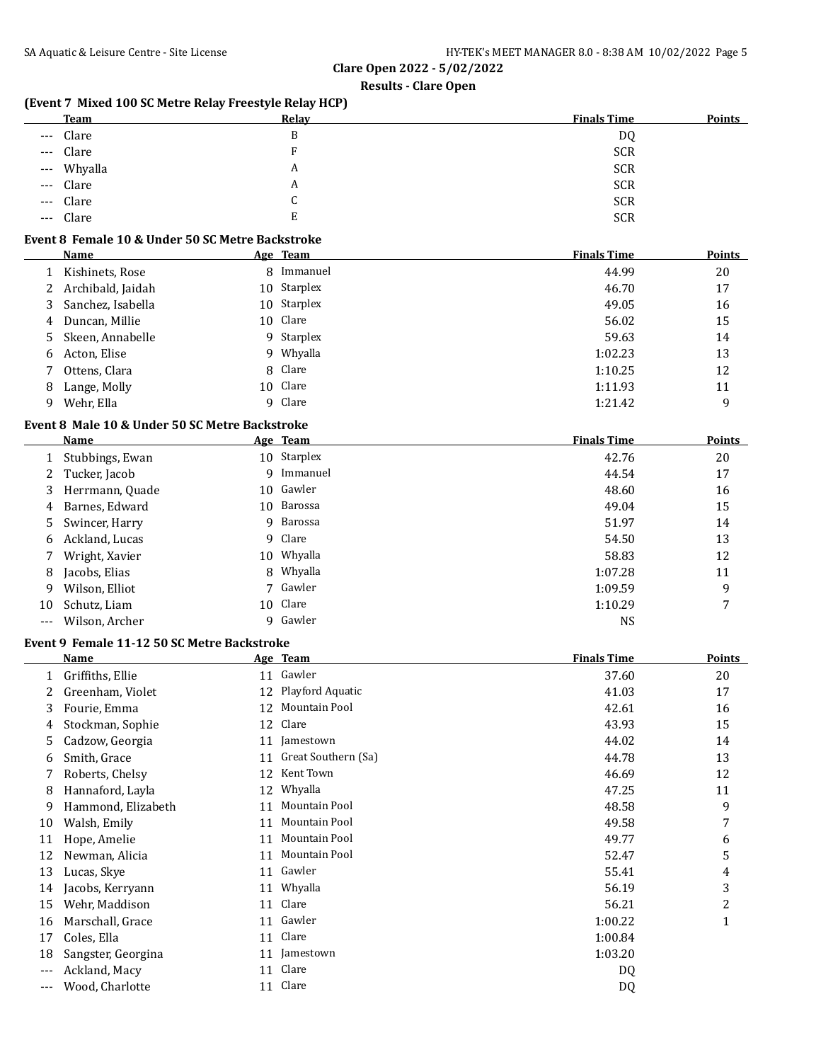### **Results - Clare Open**

### **(Event 7 Mixed 100 SC Metre Relay Freestyle Relay HCP)**

| <b>Team</b> | Relay | <b>Finals Time</b> | <b>Points</b> |
|-------------|-------|--------------------|---------------|
| --- Clare   | B     | DQ                 |               |
| --- Clare   |       | <b>SCR</b>         |               |
| --- Whyalla | A     | <b>SCR</b>         |               |
| --- Clare   | A     | <b>SCR</b>         |               |
| --- Clare   | ◡     | <b>SCR</b>         |               |
| --- Clare   | E     | <b>SCR</b>         |               |

### **Event 8 Female 10 & Under 50 SC Metre Backstroke**

|   | Name                | Age Team    | <b>Finals Time</b> | Points |
|---|---------------------|-------------|--------------------|--------|
|   | Kishinets, Rose     | 8 Immanuel  | 44.99              | 20     |
|   | 2 Archibald, Jaidah | 10 Starplex | 46.70              | 17     |
| 3 | Sanchez, Isabella   | 10 Starplex | 49.05              | 16     |
| 4 | Duncan, Millie      | 10 Clare    | 56.02              | 15     |
|   | 5 Skeen, Annabelle  | 9 Starplex  | 59.63              | 14     |
| 6 | Acton, Elise        | 9 Whyalla   | 1:02.23            | 13     |
|   | Ottens, Clara       | 8 Clare     | 1:10.25            | 12     |
| 8 | Lange, Molly        | 10 Clare    | 1:11.93            | 11     |
| 9 | Wehr, Ella          | 9 Clare     | 1:21.42            | 9      |

### **Event 8 Male 10 & Under 50 SC Metre Backstroke**

|       | Name             |   | Age Team    | <b>Finals Time</b> | <b>Points</b> |
|-------|------------------|---|-------------|--------------------|---------------|
|       | Stubbings, Ewan  |   | 10 Starplex | 42.76              | 20            |
|       | 2 Tucker, Jacob  | 9 | Immanuel    | 44.54              | 17            |
| 3     | Herrmann, Quade  |   | 10 Gawler   | 48.60              | 16            |
| 4     | Barnes, Edward   |   | 10 Barossa  | 49.04              | 15            |
|       | 5 Swincer, Harry |   | 9 Barossa   | 51.97              | 14            |
| 6     | Ackland, Lucas   |   | 9 Clare     | 54.50              | 13            |
|       | Wright, Xavier   |   | 10 Whyalla  | 58.83              | 12            |
| 8     | Jacobs, Elias    |   | 8 Whyalla   | 1:07.28            | 11            |
| 9     | Wilson, Elliot   |   | 7 Gawler    | 1:09.59            | 9             |
| 10    | Schutz, Liam     |   | 10 Clare    | 1:10.29            | 7             |
| $---$ | Wilson, Archer   |   | 9 Gawler    | <b>NS</b>          |               |

### **Event 9 Female 11-12 50 SC Metre Backstroke**

|       | Name               |    | Age Team            | <b>Finals Time</b> | <b>Points</b> |
|-------|--------------------|----|---------------------|--------------------|---------------|
| 1     | Griffiths, Ellie   |    | 11 Gawler           | 37.60              | 20            |
|       | Greenham, Violet   | 12 | Playford Aquatic    | 41.03              | 17            |
| 3     | Fourie, Emma       | 12 | Mountain Pool       | 42.61              | 16            |
| 4     | Stockman, Sophie   | 12 | Clare               | 43.93              | 15            |
| 5     | Cadzow, Georgia    | 11 | Jamestown           | 44.02              | 14            |
| 6     | Smith, Grace       | 11 | Great Southern (Sa) | 44.78              | 13            |
|       | Roberts, Chelsy    | 12 | Kent Town           | 46.69              | 12            |
| 8     | Hannaford, Layla   | 12 | Whyalla             | 47.25              | 11            |
| 9     | Hammond, Elizabeth | 11 | Mountain Pool       | 48.58              | 9             |
| 10    | Walsh, Emily       | 11 | Mountain Pool       | 49.58              | 7             |
| 11    | Hope, Amelie       | 11 | Mountain Pool       | 49.77              | 6             |
| 12    | Newman, Alicia     | 11 | Mountain Pool       | 52.47              | 5             |
| 13    | Lucas, Skye        | 11 | Gawler              | 55.41              | 4             |
| 14    | Jacobs, Kerryann   | 11 | Whyalla             | 56.19              | 3             |
| 15    | Wehr, Maddison     | 11 | Clare               | 56.21              | 2             |
| 16    | Marschall, Grace   | 11 | Gawler              | 1:00.22            | 1             |
| 17    | Coles, Ella        | 11 | Clare               | 1:00.84            |               |
| 18    | Sangster, Georgina | 11 | Jamestown           | 1:03.20            |               |
| $---$ | Ackland, Macy      | 11 | Clare               | DQ                 |               |
|       | Wood, Charlotte    | 11 | Clare               | DQ                 |               |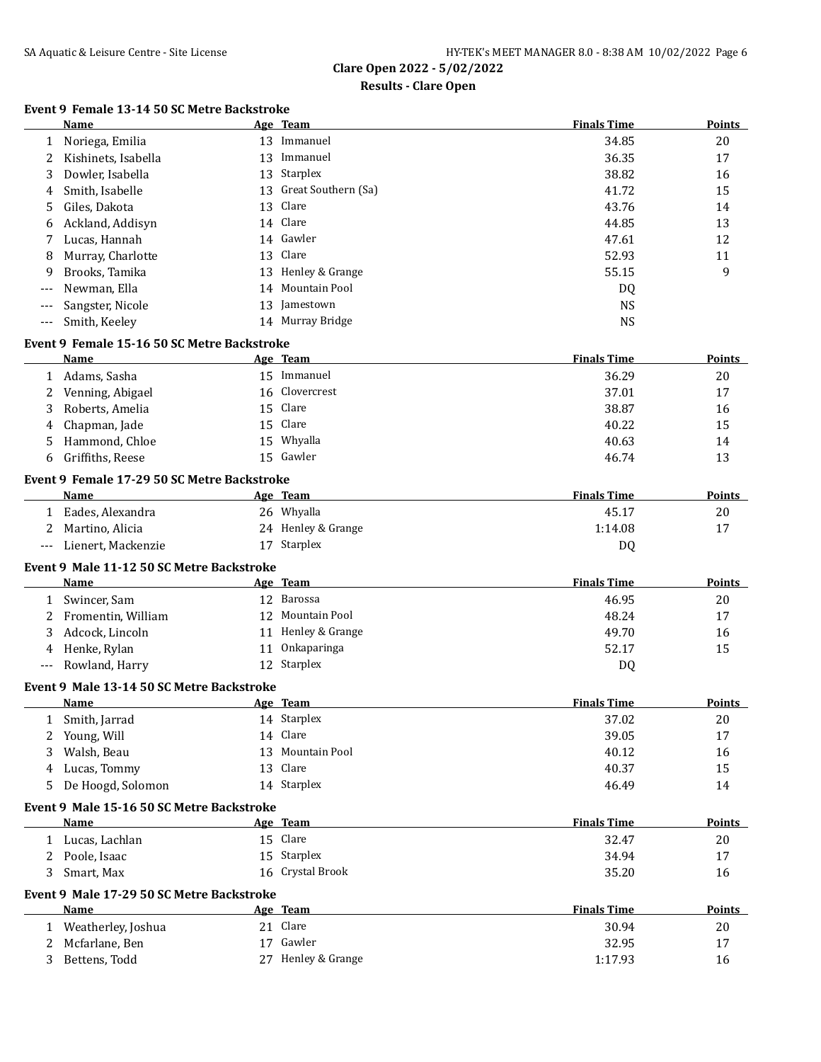### **Results - Clare Open**

# **Event 9 Female 13-14 50 SC Metre Backstroke**

|        | Name                                                |    | Age Team            | <b>Finals Time</b> | <b>Points</b> |
|--------|-----------------------------------------------------|----|---------------------|--------------------|---------------|
| 1      | Noriega, Emilia                                     |    | 13 Immanuel         | 34.85              | 20            |
| 2      | Kishinets, Isabella                                 |    | 13 Immanuel         | 36.35              | 17            |
| 3      | Dowler, Isabella                                    |    | 13 Starplex         | 38.82              | 16            |
| 4      | Smith, Isabelle                                     | 13 | Great Southern (Sa) | 41.72              | 15            |
| 5      | Giles, Dakota                                       | 13 | Clare               | 43.76              | 14            |
| 6      | Ackland, Addisyn                                    |    | 14 Clare            | 44.85              | 13            |
| 7      | Lucas, Hannah                                       |    | 14 Gawler           | 47.61              | 12            |
| 8      | Murray, Charlotte                                   | 13 | Clare               | 52.93              | 11            |
| 9      | Brooks, Tamika                                      |    | 13 Henley & Grange  | 55.15              | 9             |
| $---$  | Newman, Ella                                        | 14 | Mountain Pool       | DQ                 |               |
| $---$  | Sangster, Nicole                                    |    | 13 Jamestown        | <b>NS</b>          |               |
| $---$  | Smith, Keeley                                       |    | 14 Murray Bridge    | <b>NS</b>          |               |
|        | Event 9 Female 15-16 50 SC Metre Backstroke         |    |                     |                    |               |
|        | <b>Name</b>                                         |    | Age Team            | <b>Finals Time</b> | <b>Points</b> |
| 1      | Adams, Sasha                                        |    | 15 Immanuel         | 36.29              | 20            |
| 2      | Venning, Abigael                                    | 16 | Clovercrest         | 37.01              | 17            |
| 3      | Roberts, Amelia                                     | 15 | Clare               | 38.87              | 16            |
| 4      | Chapman, Jade                                       | 15 | Clare               | 40.22              | 15            |
| 5      | Hammond, Chloe                                      | 15 | Whyalla             | 40.63              | 14            |
| 6      | Griffiths, Reese                                    |    | 15 Gawler           | 46.74              | 13            |
|        |                                                     |    |                     |                    |               |
|        | Event 9 Female 17-29 50 SC Metre Backstroke<br>Name |    | Age Team            | <b>Finals Time</b> | <b>Points</b> |
|        | Eades, Alexandra                                    |    | 26 Whyalla          | 45.17              | 20            |
| 1<br>2 |                                                     |    | 24 Henley & Grange  | 1:14.08            | 17            |
|        | Martino, Alicia<br>Lienert, Mackenzie               |    | 17 Starplex         |                    |               |
| $---$  |                                                     |    |                     | DQ                 |               |
|        | Event 9 Male 11-12 50 SC Metre Backstroke           |    |                     |                    |               |
|        | Name                                                |    | Age Team            | <b>Finals Time</b> | <b>Points</b> |
|        | 1 Swincer, Sam                                      |    | 12 Barossa          | 46.95              | 20            |
| 2      | Fromentin, William                                  |    | 12 Mountain Pool    | 48.24              | 17            |
| 3      | Adcock, Lincoln                                     |    | 11 Henley & Grange  | 49.70              | 16            |
| 4      | Henke, Rylan                                        | 11 | Onkaparinga         | 52.17              | 15            |
| $---$  | Rowland, Harry                                      |    | 12 Starplex         | DQ                 |               |
|        | Event 9 Male 13-14 50 SC Metre Backstroke           |    |                     |                    |               |
|        | Name                                                |    | Age Team            | <b>Finals Time</b> | <b>Points</b> |
| T      | Smith, Jarrad                                       |    | 14 Starplex         | 37.02              | 20            |
| 2      | Young, Will                                         |    | 14 Clare            | 39.05              | 17            |
| 3      | Walsh, Beau                                         |    | 13 Mountain Pool    | 40.12              | 16            |
| 4      | Lucas, Tommy                                        |    | 13 Clare            | 40.37              | 15            |
| 5      | De Hoogd, Solomon                                   |    | 14 Starplex         | 46.49              | 14            |
|        | Event 9 Male 15-16 50 SC Metre Backstroke           |    |                     |                    |               |
|        | Name                                                |    | Age Team            | <b>Finals Time</b> | <b>Points</b> |
| 1      | Lucas, Lachlan                                      |    | 15 Clare            | 32.47              | 20            |
| 2      | Poole, Isaac                                        |    | 15 Starplex         | 34.94              | 17            |
| 3      | Smart, Max                                          |    | 16 Crystal Brook    | 35.20              | 16            |
|        | Event 9 Male 17-29 50 SC Metre Backstroke           |    |                     |                    |               |
|        | Name                                                |    | Age Team            | <b>Finals Time</b> | <b>Points</b> |
| 1      | Weatherley, Joshua                                  |    | 21 Clare            | 30.94              | 20            |
| 2      | Mcfarlane, Ben                                      |    | 17 Gawler           | 32.95              | 17            |
| 3      | Bettens, Todd                                       |    | 27 Henley & Grange  | 1:17.93            | 16            |
|        |                                                     |    |                     |                    |               |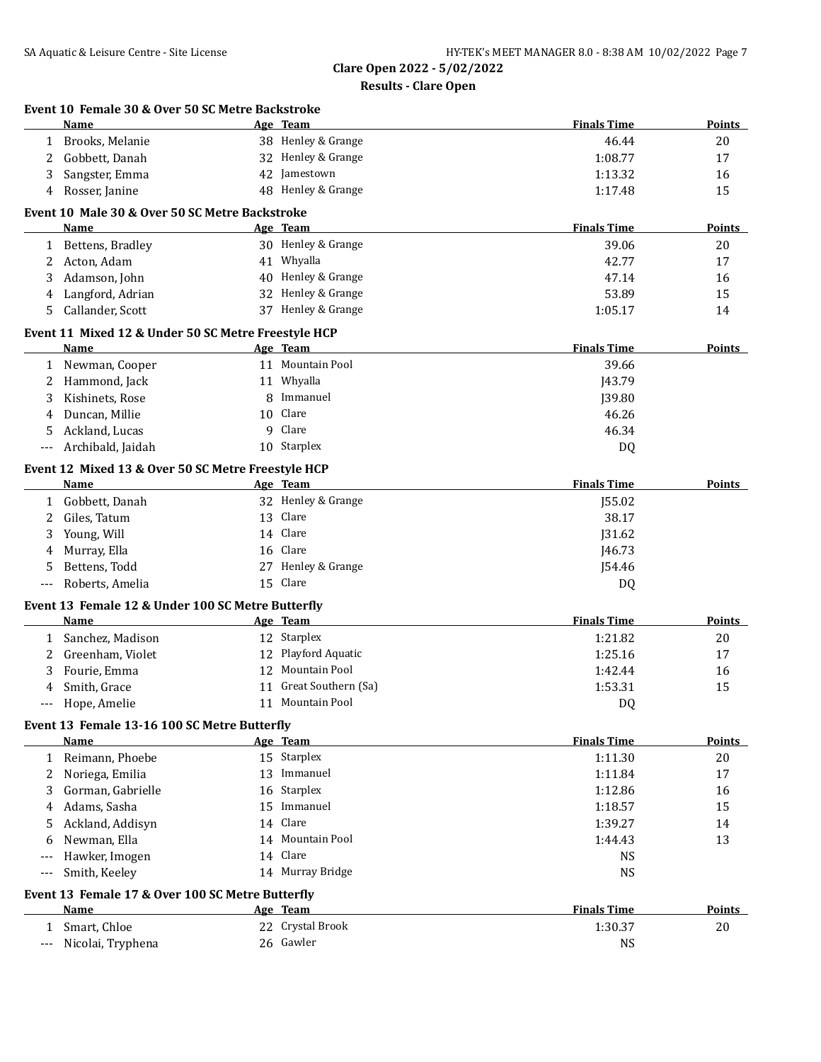|     | Event 10 Female 30 & Over 50 SC Metre Backstroke<br>Name |    | Age Team               | <b>Finals Time</b> | Points        |
|-----|----------------------------------------------------------|----|------------------------|--------------------|---------------|
| 1   | Brooks, Melanie                                          |    | 38 Henley & Grange     | 46.44              | 20            |
| 2   | Gobbett, Danah                                           |    | 32 Henley & Grange     | 1:08.77            | 17            |
| 3   | Sangster, Emma                                           |    | 42 Jamestown           | 1:13.32            | 16            |
| 4   | Rosser, Janine                                           |    | 48 Henley & Grange     | 1:17.48            | 15            |
|     | Event 10 Male 30 & Over 50 SC Metre Backstroke           |    |                        |                    |               |
|     | Name                                                     |    | Age Team               | <b>Finals Time</b> | <b>Points</b> |
| 1   | Bettens, Bradley                                         |    | 30 Henley & Grange     | 39.06              | 20            |
| 2   | Acton, Adam                                              |    | 41 Whyalla             | 42.77              | 17            |
| 3   | Adamson, John                                            |    | 40 Henley & Grange     | 47.14              | 16            |
| 4   | Langford, Adrian                                         |    | 32 Henley & Grange     | 53.89              | 15            |
| 5   | Callander, Scott                                         |    | 37 Henley & Grange     | 1:05.17            | 14            |
|     | Event 11 Mixed 12 & Under 50 SC Metre Freestyle HCP      |    |                        |                    |               |
|     | Name                                                     |    | Age Team               | <b>Finals Time</b> | Points        |
|     | 1 Newman, Cooper                                         |    | 11 Mountain Pool       | 39.66              |               |
| 2   | Hammond, Jack                                            |    | 11 Whyalla             | J43.79             |               |
| 3   | Kishinets, Rose                                          | 8  | Immanuel               | J39.80             |               |
| 4   | Duncan, Millie                                           |    | 10 Clare               | 46.26              |               |
| 5   | Ackland, Lucas                                           | 9  | Clare                  | 46.34              |               |
| --- | Archibald, Jaidah                                        |    | 10 Starplex            | DQ                 |               |
|     | Event 12 Mixed 13 & Over 50 SC Metre Freestyle HCP       |    |                        |                    |               |
|     | Name                                                     |    | Age Team               | <b>Finals Time</b> | Points        |
| 1   | Gobbett, Danah                                           |    | 32 Henley & Grange     | J55.02             |               |
| 2   | Giles, Tatum                                             |    | 13 Clare               | 38.17              |               |
| 3   | Young, Will                                              |    | 14 Clare               | J31.62             |               |
| 4   | Murray, Ella                                             |    | 16 Clare               | J46.73             |               |
| 5   | Bettens, Todd                                            |    | 27 Henley & Grange     | J54.46             |               |
| --- | Roberts, Amelia                                          |    | 15 Clare               | DQ                 |               |
|     | Event 13 Female 12 & Under 100 SC Metre Butterfly        |    |                        |                    |               |
|     | Name                                                     |    | Age Team               | <b>Finals Time</b> | <b>Points</b> |
|     | 1 Sanchez, Madison                                       |    | 12 Starplex            | 1:21.82            | 20            |
| 2   | Greenham, Violet                                         |    | 12 Playford Aquatic    | 1:25.16            | 17            |
| 3   | Fourie, Emma                                             |    | 12 Mountain Pool       | 1:42.44            | 16            |
| 4   | Smith, Grace                                             |    | 11 Great Southern (Sa) | 1:53.31            | 15            |
|     | Hope, Amelie                                             |    | 11 Mountain Pool       | DQ                 |               |
|     | Event 13 Female 13-16 100 SC Metre Butterfly             |    |                        |                    |               |
|     | Name                                                     |    | Age Team               | <b>Finals Time</b> | <b>Points</b> |
|     | 1 Reimann, Phoebe                                        |    | 15 Starplex            | 1:11.30            | 20            |
| 2   | Noriega, Emilia                                          |    | 13 Immanuel            | 1:11.84            | 17            |
| 3   | Gorman, Gabrielle                                        |    | 16 Starplex            | 1:12.86            | 16            |
| 4   | Adams, Sasha                                             | 15 | Immanuel               | 1:18.57            | 15            |
| 5   | Ackland, Addisyn                                         |    | 14 Clare               | 1:39.27            | 14            |
| 6   | Newman, Ella                                             |    | 14 Mountain Pool       | 1:44.43            | 13            |
|     | Hawker, Imogen                                           |    | 14 Clare               | <b>NS</b>          |               |
| --- | Smith, Keeley                                            |    | 14 Murray Bridge       | <b>NS</b>          |               |
|     | Event 13 Female 17 & Over 100 SC Metre Butterfly         |    |                        |                    |               |
|     | Name                                                     |    | Age Team               | <b>Finals Time</b> | <b>Points</b> |
| 1   | Smart, Chloe                                             |    | 22 Crystal Brook       | 1:30.37            | 20            |
|     |                                                          |    |                        |                    |               |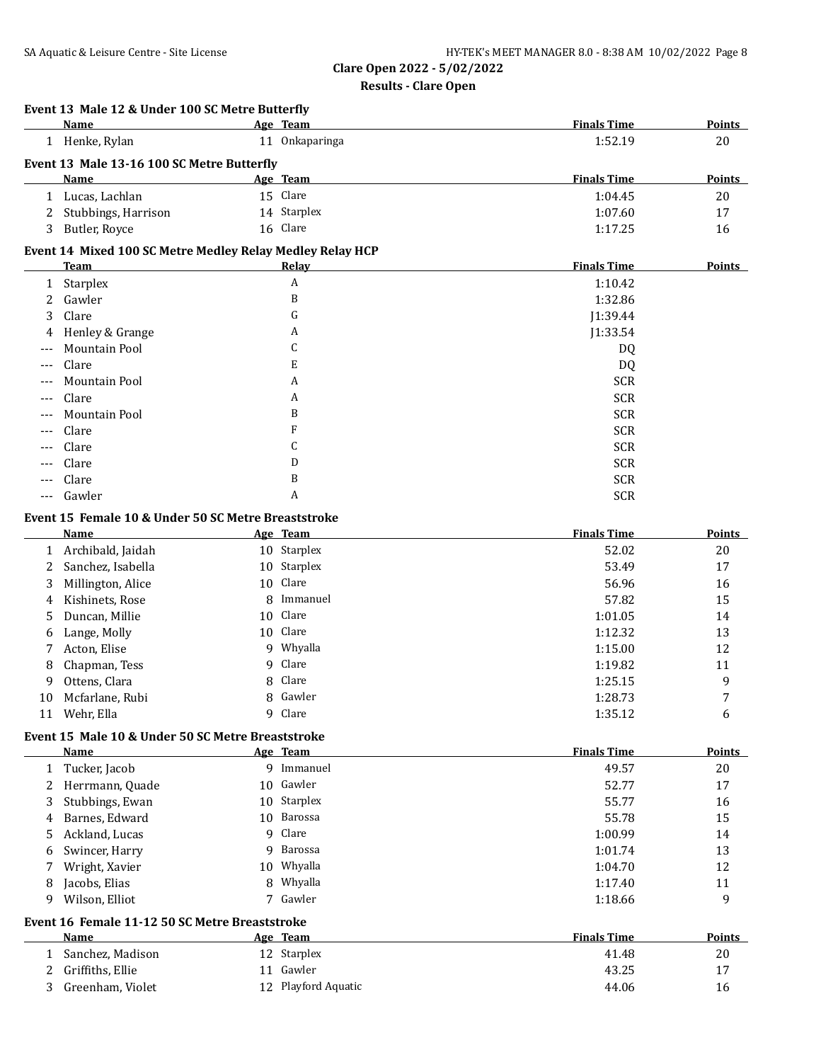### **Results - Clare Open**

## **Event 13 Male 12 & Under 100 SC Metre Butterfly**

|              | <b>Name</b>                                                                                                                                                                                                                                                                                                                                                                                                                   |    | Age Team     | <b>Finals Time</b> | <b>Points</b> |
|--------------|-------------------------------------------------------------------------------------------------------------------------------------------------------------------------------------------------------------------------------------------------------------------------------------------------------------------------------------------------------------------------------------------------------------------------------|----|--------------|--------------------|---------------|
| $\mathbf{1}$ | Henke, Rylan                                                                                                                                                                                                                                                                                                                                                                                                                  | 11 | Onkaparinga  | 1:52.19            | 20            |
|              | Event 13 Male 13-16 100 SC Metre Butterfly                                                                                                                                                                                                                                                                                                                                                                                    |    |              |                    |               |
|              | Name                                                                                                                                                                                                                                                                                                                                                                                                                          |    | Age Team     | <b>Finals Time</b> | <b>Points</b> |
| 1            | Lucas, Lachlan                                                                                                                                                                                                                                                                                                                                                                                                                |    | 15 Clare     | 1:04.45            | 20            |
| 2            | Stubbings, Harrison                                                                                                                                                                                                                                                                                                                                                                                                           |    | 14 Starplex  | 1:07.60            | 17            |
| 3            | Butler, Royce                                                                                                                                                                                                                                                                                                                                                                                                                 |    | 16 Clare     | 1:17.25            | 16            |
|              | Event 14 Mixed 100 SC Metre Medley Relay Medley Relay HCP                                                                                                                                                                                                                                                                                                                                                                     |    |              |                    |               |
|              | <b>Team</b>                                                                                                                                                                                                                                                                                                                                                                                                                   |    | <b>Relay</b> | <b>Finals Time</b> | <b>Points</b> |
| 1            | Starplex                                                                                                                                                                                                                                                                                                                                                                                                                      |    | A            | 1:10.42            |               |
| 2            | Gawler                                                                                                                                                                                                                                                                                                                                                                                                                        |    | B            | 1:32.86            |               |
| 3            | Clare                                                                                                                                                                                                                                                                                                                                                                                                                         |    | G            | J1:39.44           |               |
|              | Henley & Grange                                                                                                                                                                                                                                                                                                                                                                                                               |    | A            | J1:33.54           |               |
| $---$        | Mountain Pool                                                                                                                                                                                                                                                                                                                                                                                                                 |    | C            | DQ                 |               |
| $---$        | Clare                                                                                                                                                                                                                                                                                                                                                                                                                         |    | E            | DQ                 |               |
|              | <b>Mountain Pool</b>                                                                                                                                                                                                                                                                                                                                                                                                          |    | A            | <b>SCR</b>         |               |
| $---$        | Clare                                                                                                                                                                                                                                                                                                                                                                                                                         |    | A            | <b>SCR</b>         |               |
| ---          | Mountain Pool                                                                                                                                                                                                                                                                                                                                                                                                                 |    | B            | <b>SCR</b>         |               |
| ---          | Clare                                                                                                                                                                                                                                                                                                                                                                                                                         |    | F            | <b>SCR</b>         |               |
| $---$        | Clare                                                                                                                                                                                                                                                                                                                                                                                                                         |    | C            | <b>SCR</b>         |               |
|              | Clare                                                                                                                                                                                                                                                                                                                                                                                                                         |    | D            | <b>SCR</b>         |               |
|              | Clare                                                                                                                                                                                                                                                                                                                                                                                                                         |    | B            | <b>SCR</b>         |               |
|              | Gawler                                                                                                                                                                                                                                                                                                                                                                                                                        |    | A            | <b>SCR</b>         |               |
|              | $$ (4 $\blacksquare$ ) (2 $$ ) (3 $\blacksquare$ 4 $\Omega$ $\Omega$ )) (3 $$ $\blacksquare$ $\Omega$ $\Omega$ $\Omega$ )) (4 $$ $\blacksquare$ $\blacksquare$ $\blacksquare$ $\blacksquare$ $\blacksquare$ $\blacksquare$ $\blacksquare$ $\blacksquare$ $\blacksquare$ $\blacksquare$ $\blacksquare$ $\blacksquare$ $\blacksquare$ $\blacksquare$ $\blacksquare$ $\blacksquare$ $\blacksquare$ $\blacksquare$ $\blacksquare$ |    |              |                    |               |

#### **Event 15 Female 10 & Under 50 SC Metre Breaststroke**

|    | Name              | Age Team    | <b>Finals Time</b> | Points |
|----|-------------------|-------------|--------------------|--------|
|    | Archibald, Jaidah | 10 Starplex | 52.02              | 20     |
|    | Sanchez, Isabella | 10 Starplex | 53.49              | 17     |
| 3  | Millington, Alice | 10 Clare    | 56.96              | 16     |
|    | 4 Kishinets, Rose | 8 Immanuel  | 57.82              | 15     |
|    | 5 Duncan, Millie  | 10 Clare    | 1:01.05            | 14     |
| 6  | Lange, Molly      | 10 Clare    | 1:12.32            | 13     |
| 7  | Acton, Elise      | 9 Whyalla   | 1:15.00            | 12     |
| 8  | Chapman, Tess     | 9 Clare     | 1:19.82            | 11     |
| 9  | Ottens, Clara     | 8 Clare     | 1:25.15            | 9      |
| 10 | Mcfarlane, Rubi   | 8 Gawler    | 1:28.73            | 7      |
| 11 | Wehr, Ella        | 9 Clare     | 1:35.12            | 6      |

### **Event 15 Male 10 & Under 50 SC Metre Breaststroke**

|              | Name                                           |    | Age Team    | <b>Finals Time</b> | <b>Points</b> |
|--------------|------------------------------------------------|----|-------------|--------------------|---------------|
| $\mathbf{1}$ | Tucker, Jacob                                  | 9  | Immanuel    | 49.57              | 20            |
|              | Herrmann, Quade                                |    | 10 Gawler   | 52.77              | 17            |
| 3            | Stubbings, Ewan                                |    | 10 Starplex | 55.77              | 16            |
| 4            | Barnes, Edward                                 | 10 | Barossa     | 55.78              | 15            |
| 5.           | Ackland, Lucas                                 |    | 9 Clare     | 1:00.99            | 14            |
| 6            | Swincer, Harry                                 | 9  | Barossa     | 1:01.74            | 13            |
|              | Wright, Xavier                                 |    | 10 Whyalla  | 1:04.70            | 12            |
| 8            | Jacobs, Elias                                  | 8  | Whyalla     | 1:17.40            | 11            |
| 9            | Wilson, Elliot                                 |    | 7 Gawler    | 1:18.66            | 9             |
|              | Event 16 Female 11-12 50 SC Metre Breaststroke |    |             |                    |               |
|              | Name                                           |    | Age Team    | <b>Finals Time</b> | Points        |
|              | Sanchez, Madison                               |    | 12 Starplex | 41.48              | 20            |
|              | 2 Griffiths, Ellie                             | 11 | Gawler      | 43.25              | 17            |

3 Greenham, Violet 12 Playford Aquatic 44.06 16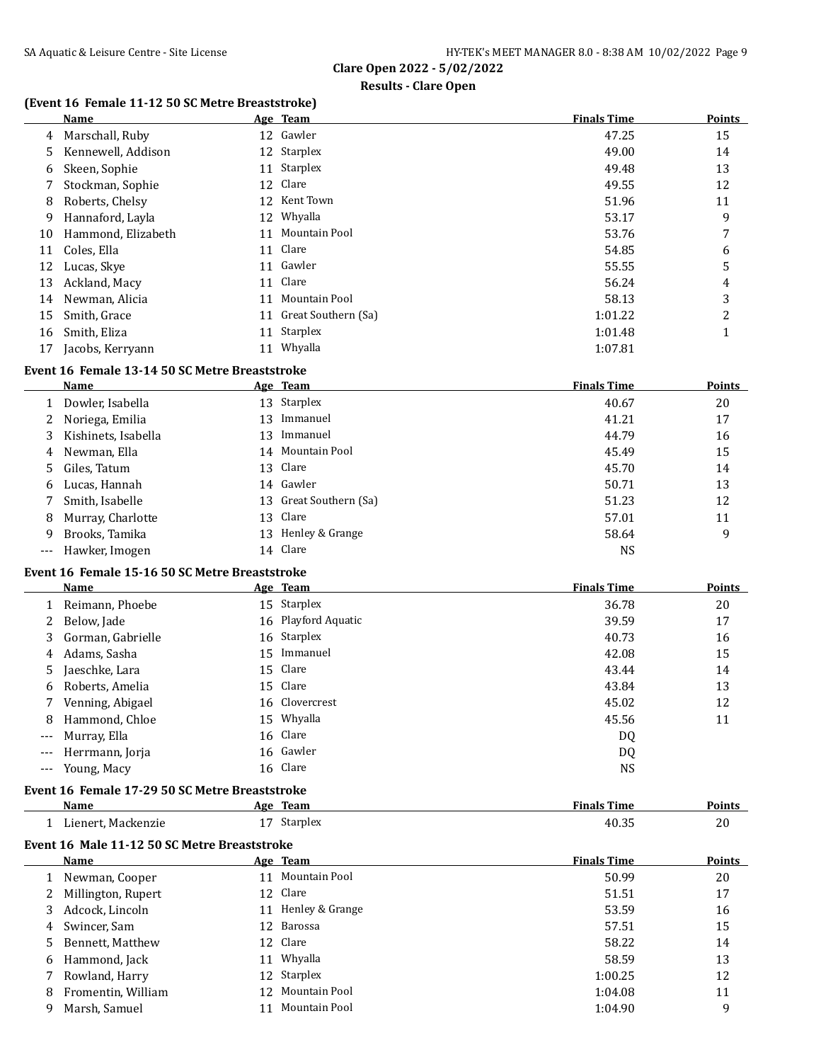### **Results - Clare Open**

### **(Event 16 Female 11-12 50 SC Metre Breaststroke)**

|    | Name               |    | Age Team            | <b>Finals Time</b> | <b>Points</b> |
|----|--------------------|----|---------------------|--------------------|---------------|
| 4  | Marschall, Ruby    | 12 | Gawler              | 47.25              | 15            |
| 5  | Kennewell, Addison |    | 12 Starplex         | 49.00              | 14            |
| 6  | Skeen, Sophie      | 11 | Starplex            | 49.48              | 13            |
|    | Stockman, Sophie   |    | 12 Clare            | 49.55              | 12            |
| 8  | Roberts, Chelsy    | 12 | Kent Town           | 51.96              | 11            |
| 9  | Hannaford, Layla   | 12 | Whyalla             | 53.17              | 9             |
| 10 | Hammond, Elizabeth | 11 | Mountain Pool       | 53.76              | 7             |
| 11 | Coles, Ella        | 11 | Clare               | 54.85              | 6             |
| 12 | Lucas, Skye        | 11 | Gawler              | 55.55              | 5             |
| 13 | Ackland, Macy      | 11 | Clare               | 56.24              | 4             |
| 14 | Newman, Alicia     | 11 | Mountain Pool       | 58.13              | 3             |
| 15 | Smith, Grace       | 11 | Great Southern (Sa) | 1:01.22            | 2             |
| 16 | Smith, Eliza       | 11 | Starplex            | 1:01.48            | 1             |
| 17 | Jacobs, Kerryann   | 11 | Whyalla             | 1:07.81            |               |

### **Event 16 Female 13-14 50 SC Metre Breaststroke**

|    | Name                |    | Age Team               | <b>Finals Time</b> | <b>Points</b> |
|----|---------------------|----|------------------------|--------------------|---------------|
|    | Dowler, Isabella    |    | 13 Starplex            | 40.67              | 20            |
|    | Noriega, Emilia     | 13 | Immanuel               | 41.21              | 17            |
| 3  | Kishinets, Isabella | 13 | Immanuel               | 44.79              | 16            |
|    | 4 Newman, Ella      |    | 14 Mountain Pool       | 45.49              | 15            |
|    | 5 Giles, Tatum      |    | 13 Clare               | 45.70              | 14            |
| 6. | Lucas, Hannah       |    | 14 Gawler              | 50.71              | 13            |
|    | Smith, Isabelle     |    | 13 Great Southern (Sa) | 51.23              | 12            |
| 8  | Murray, Charlotte   |    | 13 Clare               | 57.01              | 11            |
| 9  | Brooks, Tamika      | 13 | Henley & Grange        | 58.64              | 9             |
|    | --- Hawker, Imogen  |    | 14 Clare               | <b>NS</b>          |               |

## **Event 16 Female 15-16 50 SC Metre Breaststroke**

|                     | Name                | Age Team            | <b>Finals Time</b> | <b>Points</b> |
|---------------------|---------------------|---------------------|--------------------|---------------|
|                     | 1 Reimann, Phoebe   | 15 Starplex         | 36.78              | 20            |
|                     | 2 Below, Jade       | 16 Playford Aquatic | 39.59              | 17            |
|                     | 3 Gorman, Gabrielle | 16 Starplex         | 40.73              | 16            |
| 4                   | Adams, Sasha        | 15 Immanuel         | 42.08              | 15            |
|                     | 5 Jaeschke, Lara    | 15 Clare            | 43.44              | 14            |
|                     | 6 Roberts, Amelia   | 15 Clare            | 43.84              | 13            |
|                     | 7 Venning, Abigael  | 16 Clovercrest      | 45.02              | 12            |
|                     | 8 Hammond, Chloe    | 15 Whyalla          | 45.56              | 11            |
| $\qquad \qquad - -$ | Murray, Ella        | 16 Clare            | DQ                 |               |
| $---$               | Herrmann, Jorja     | 16 Gawler           | DQ                 |               |
| $\qquad \qquad - -$ | Young, Macy         | 16 Clare            | NS                 |               |

### **Event 16 Female 17-29 50 SC Metre Breaststroke**

| <b>Name</b>        |    |               | <b>Finals Time</b>                                                                                                                                                                                             | <b>Points</b> |
|--------------------|----|---------------|----------------------------------------------------------------------------------------------------------------------------------------------------------------------------------------------------------------|---------------|
| Lienert, Mackenzie | 17 |               | 40.35                                                                                                                                                                                                          | 20            |
|                    |    |               |                                                                                                                                                                                                                |               |
| Name               |    |               | <b>Finals Time</b>                                                                                                                                                                                             | <b>Points</b> |
| Newman, Cooper     |    |               | 50.99                                                                                                                                                                                                          | 20            |
| Millington, Rupert |    |               | 51.51                                                                                                                                                                                                          | 17            |
| Adcock, Lincoln    |    |               | 53.59                                                                                                                                                                                                          | 16            |
| Swincer, Sam       |    |               | 57.51                                                                                                                                                                                                          | 15            |
| Bennett, Matthew   |    |               | 58.22                                                                                                                                                                                                          | 14            |
| Hammond, Jack      |    |               | 58.59                                                                                                                                                                                                          | 13            |
| Rowland, Harry     |    |               | 1:00.25                                                                                                                                                                                                        | 12            |
| Fromentin, William |    |               | 1:04.08                                                                                                                                                                                                        | 11            |
| Marsh, Samuel      | 11 | Mountain Pool | 1:04.90                                                                                                                                                                                                        | 9             |
|                    |    | 12.           | Age Team<br>Starplex<br>Event 16 Male 11-12 50 SC Metre Breaststroke<br>Age Team<br>11 Mountain Pool<br>12 Clare<br>11 Henley & Grange<br>12 Barossa<br>12 Clare<br>11 Whyalla<br>12 Starplex<br>Mountain Pool |               |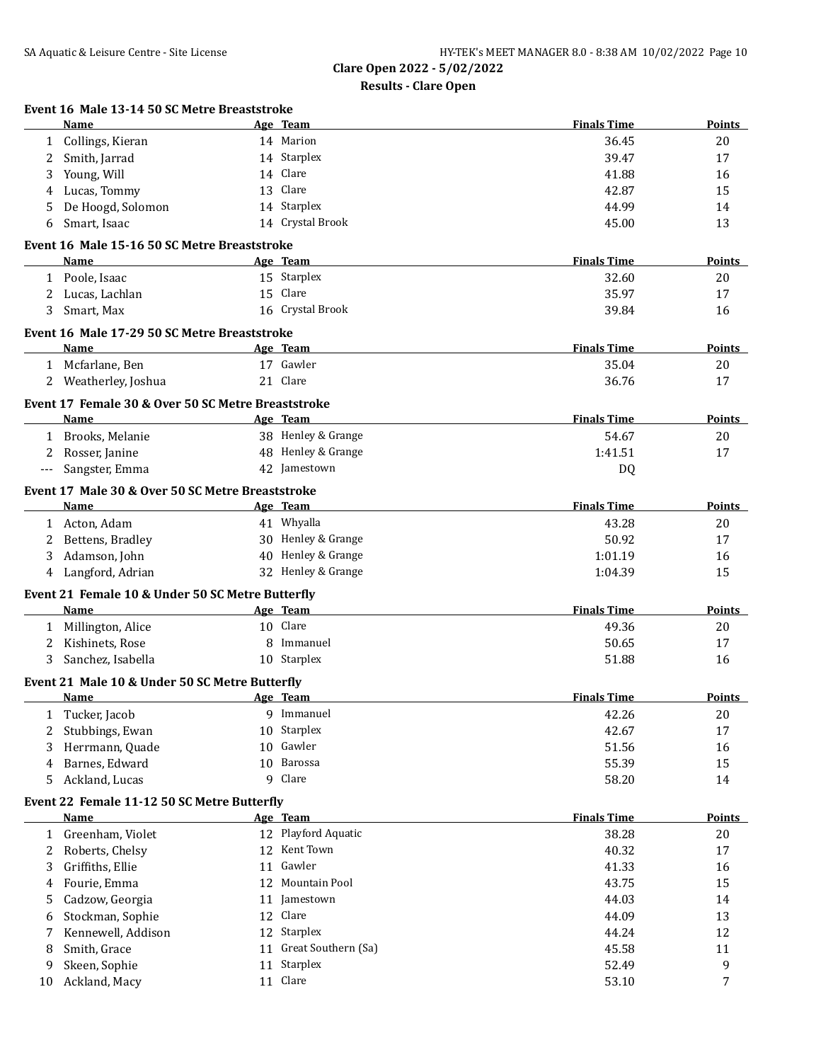|              | Name                                                                                                                                                                                                                                               |    | Age Team                           | <b>Finals Time</b> | Points        |
|--------------|----------------------------------------------------------------------------------------------------------------------------------------------------------------------------------------------------------------------------------------------------|----|------------------------------------|--------------------|---------------|
|              | 1 Collings, Kieran                                                                                                                                                                                                                                 |    | 14 Marion                          | 36.45              | 20            |
| 2            | Smith, Jarrad                                                                                                                                                                                                                                      |    | 14 Starplex                        | 39.47              | 17            |
| 3            | Young, Will                                                                                                                                                                                                                                        |    | 14 Clare                           | 41.88              | 16            |
| 4            | Lucas, Tommy                                                                                                                                                                                                                                       |    | 13 Clare                           | 42.87              | 15            |
| 5            | De Hoogd, Solomon                                                                                                                                                                                                                                  |    | 14 Starplex                        | 44.99              | 14            |
| 6            | Smart, Isaac                                                                                                                                                                                                                                       |    | 14 Crystal Brook                   | 45.00              | 13            |
|              | Event 16 Male 15-16 50 SC Metre Breaststroke                                                                                                                                                                                                       |    |                                    |                    |               |
|              | Name                                                                                                                                                                                                                                               |    | Age Team                           | <b>Finals Time</b> | <b>Points</b> |
|              | 1 Poole, Isaac                                                                                                                                                                                                                                     |    | 15 Starplex                        | 32.60              | 20            |
|              | 2 Lucas, Lachlan                                                                                                                                                                                                                                   |    | 15 Clare                           | 35.97              | 17            |
| 3            | Smart, Max                                                                                                                                                                                                                                         |    | 16 Crystal Brook                   | 39.84              | 16            |
|              | Event 16 Male 17-29 50 SC Metre Breaststroke                                                                                                                                                                                                       |    |                                    |                    |               |
|              | <b>Name</b>                                                                                                                                                                                                                                        |    | Age Team                           | <b>Finals Time</b> | Points        |
|              | 1 Mcfarlane, Ben                                                                                                                                                                                                                                   |    | 17 Gawler                          | 35.04              | 20            |
|              | 2 Weatherley, Joshua                                                                                                                                                                                                                               |    | 21 Clare                           | 36.76              | 17            |
|              |                                                                                                                                                                                                                                                    |    |                                    |                    |               |
|              | Event 17 Female 30 & Over 50 SC Metre Breaststroke<br>Name                                                                                                                                                                                         |    |                                    | <b>Finals Time</b> | Points        |
|              |                                                                                                                                                                                                                                                    |    | Age Team<br>38 Henley & Grange     |                    |               |
|              | 1 Brooks, Melanie                                                                                                                                                                                                                                  |    |                                    | 54.67<br>1:41.51   | 20            |
| 2            | Rosser, Janine                                                                                                                                                                                                                                     |    | 48 Henley & Grange<br>42 Jamestown |                    | 17            |
|              | Sangster, Emma                                                                                                                                                                                                                                     |    |                                    | DQ                 |               |
|              | Event 17 Male 30 & Over 50 SC Metre Breaststroke                                                                                                                                                                                                   |    |                                    |                    |               |
|              | Name                                                                                                                                                                                                                                               |    | Age Team                           | <b>Finals Time</b> | Points        |
|              | 1 Acton, Adam                                                                                                                                                                                                                                      |    | 41 Whyalla                         | 43.28              | 20            |
| 2            | Bettens, Bradley                                                                                                                                                                                                                                   |    | 30 Henley & Grange                 | 50.92              | 17            |
| 3            | Adamson, John                                                                                                                                                                                                                                      |    | 40 Henley & Grange                 | 1:01.19            | 16            |
| 4            | Langford, Adrian                                                                                                                                                                                                                                   |    | 32 Henley & Grange                 | 1:04.39            | 15            |
|              | Event 21 Female 10 & Under 50 SC Metre Butterfly                                                                                                                                                                                                   |    |                                    |                    |               |
|              | Name                                                                                                                                                                                                                                               |    | Age Team                           | <b>Finals Time</b> | <b>Points</b> |
|              | 1 Millington, Alice                                                                                                                                                                                                                                |    | 10 Clare                           | 49.36              | 20            |
| 2            | Kishinets, Rose                                                                                                                                                                                                                                    |    | 8 Immanuel                         | 50.65              | 17            |
| 3            | Sanchez, Isabella                                                                                                                                                                                                                                  |    | 10 Starplex                        | 51.88              | 16            |
|              | Event 21 Male 10 & Under 50 SC Metre Butterfly                                                                                                                                                                                                     |    |                                    |                    |               |
|              | Name <b>Mame Age Team</b> Age Team <b>Age Team</b> Age Team <b>Age Team</b> Age Team <b>Age Team</b> Age Team <b>Age Team</b> Age Team <b>Age Team</b> Age Team <b>Age Team Age Team Age Team Age Team Age Team Age Team Age Team Age Team Age</b> |    |                                    | Finals Time        | <b>Points</b> |
| 1            | Tucker, Jacob                                                                                                                                                                                                                                      |    | 9 Immanuel                         | 42.26              | 20            |
| 2            | Stubbings, Ewan                                                                                                                                                                                                                                    |    | 10 Starplex                        | 42.67              | 17            |
| 3            | Herrmann, Quade                                                                                                                                                                                                                                    |    | 10 Gawler                          | 51.56              | 16            |
| 4            | Barnes, Edward                                                                                                                                                                                                                                     | 10 | Barossa                            | 55.39              | 15            |
| 5            | Ackland, Lucas                                                                                                                                                                                                                                     | 9  | Clare                              | 58.20              | 14            |
|              | Event 22 Female 11-12 50 SC Metre Butterfly                                                                                                                                                                                                        |    |                                    |                    |               |
|              | <b>Name</b>                                                                                                                                                                                                                                        |    | Age Team                           | <b>Finals Time</b> | <b>Points</b> |
| $\mathbf{1}$ | Greenham, Violet                                                                                                                                                                                                                                   |    | 12 Playford Aquatic                | 38.28              | 20            |
| 2            | Roberts, Chelsy                                                                                                                                                                                                                                    |    | 12 Kent Town                       | 40.32              | 17            |
| 3            | Griffiths, Ellie                                                                                                                                                                                                                                   |    | 11 Gawler                          | 41.33              | 16            |
| 4            | Fourie, Emma                                                                                                                                                                                                                                       |    | 12 Mountain Pool                   | 43.75              | 15            |
| 5            | Cadzow, Georgia                                                                                                                                                                                                                                    |    | 11 Jamestown                       | 44.03              | 14            |
| 6            | Stockman, Sophie                                                                                                                                                                                                                                   |    | 12 Clare                           | 44.09              | 13            |
|              | Kennewell, Addison                                                                                                                                                                                                                                 |    | 12 Starplex                        | 44.24              | 12            |
| 8            | Smith, Grace                                                                                                                                                                                                                                       |    | 11 Great Southern (Sa)             | 45.58              | 11            |
| 9            | Skeen, Sophie                                                                                                                                                                                                                                      |    | 11 Starplex                        | 52.49              | 9             |
| 10           | Ackland, Macy                                                                                                                                                                                                                                      |    | 11 Clare                           | 53.10              | 7             |
|              |                                                                                                                                                                                                                                                    |    |                                    |                    |               |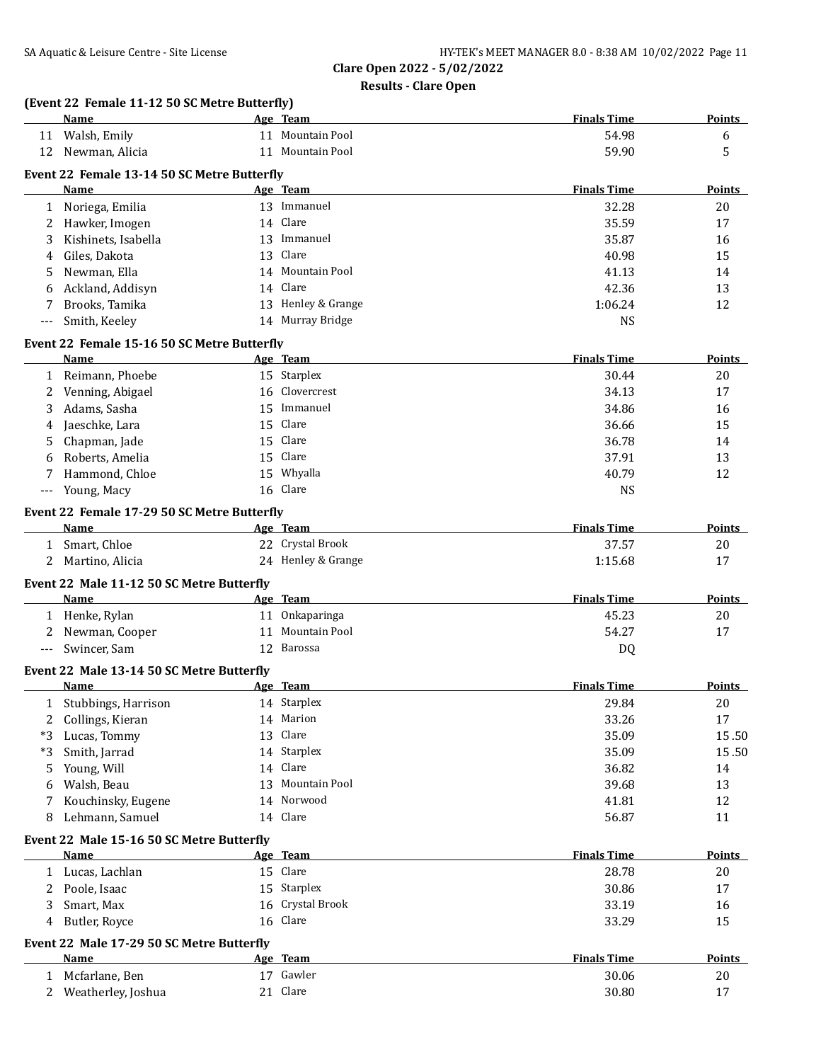|              | (Event 22 Female 11-12 50 SC Metre Butterfly)<br>Name |    | Age Team                               | <b>Finals Time</b> | Points        |
|--------------|-------------------------------------------------------|----|----------------------------------------|--------------------|---------------|
| 11           | Walsh, Emily                                          |    | 11 Mountain Pool                       | 54.98              | 6             |
| 12           | Newman, Alicia                                        |    | 11 Mountain Pool                       | 59.90              | 5             |
|              | Event 22 Female 13-14 50 SC Metre Butterfly           |    |                                        |                    |               |
|              | Name                                                  |    | Age Team                               | <b>Finals Time</b> | <b>Points</b> |
| $\mathbf{1}$ | Noriega, Emilia                                       |    | 13 Immanuel                            | 32.28              | 20            |
| 2            | Hawker, Imogen                                        |    | 14 Clare                               | 35.59              | 17            |
| 3            | Kishinets, Isabella                                   |    | 13 Immanuel                            | 35.87              | 16            |
| 4            | Giles, Dakota                                         | 13 | Clare                                  | 40.98              | 15            |
|              |                                                       |    | 14 Mountain Pool                       | 41.13              | 14            |
| 5            | Newman, Ella                                          |    | 14 Clare                               | 42.36              | 13            |
| 6            | Ackland, Addisyn                                      |    |                                        |                    |               |
| 7            | Brooks, Tamika                                        |    | 13 Henley & Grange<br>14 Murray Bridge | 1:06.24            | 12            |
| $---$        | Smith, Keeley                                         |    |                                        | <b>NS</b>          |               |
|              | Event 22 Female 15-16 50 SC Metre Butterfly           |    |                                        |                    |               |
|              | Name                                                  |    | Age Team                               | <b>Finals Time</b> | Points        |
| $\mathbf{1}$ | Reimann, Phoebe                                       |    | 15 Starplex                            | 30.44              | 20            |
| 2            | Venning, Abigael                                      | 16 | Clovercrest                            | 34.13              | 17            |
| 3            | Adams, Sasha                                          | 15 | Immanuel                               | 34.86              | 16            |
| 4            | Jaeschke, Lara                                        | 15 | Clare                                  | 36.66              | 15            |
| 5            | Chapman, Jade                                         | 15 | Clare                                  | 36.78              | 14            |
|              | Roberts, Amelia                                       | 15 | Clare                                  | 37.91              | 13            |
| 7            | Hammond, Chloe                                        | 15 | Whyalla                                | 40.79              | 12            |
| ---          | Young, Macy                                           | 16 | Clare                                  | <b>NS</b>          |               |
|              | Event 22 Female 17-29 50 SC Metre Butterfly           |    |                                        |                    |               |
|              | Name                                                  |    | Age Team                               | <b>Finals Time</b> | <b>Points</b> |
|              | 1 Smart, Chloe                                        |    | 22 Crystal Brook                       | 37.57              | 20            |
| 2            | Martino, Alicia                                       |    | 24 Henley & Grange                     | 1:15.68            | 17            |
|              |                                                       |    |                                        |                    |               |
|              | Event 22 Male 11-12 50 SC Metre Butterfly             |    |                                        |                    |               |
|              | <b>Name</b>                                           |    | Age Team                               | <b>Finals Time</b> | <b>Points</b> |
| $\mathbf{1}$ | Henke, Rylan                                          |    | 11 Onkaparinga                         | 45.23              | 20            |
| 2            | Newman, Cooper                                        |    | 11 Mountain Pool                       | 54.27              | 17            |
| $---$        | Swincer, Sam                                          |    | 12 Barossa                             | DQ                 |               |
|              | Event 22 Male 13-14 50 SC Metre Butterfly             |    |                                        |                    |               |
|              | Name                                                  |    | Age Team                               | <b>Finals Time</b> | Points        |
| 1            | Stubbings, Harrison                                   |    | 14 Starplex                            | 29.84              | $20\,$        |
| 2            | Collings, Kieran                                      |    | 14 Marion                              | 33.26              | 17            |
| *3           | Lucas, Tommy                                          |    | 13 Clare                               | 35.09              | 15.50         |
| *3           | Smith, Jarrad                                         |    | 14 Starplex                            | 35.09              | 15.50         |
| 5            | Young, Will                                           |    | 14 Clare                               | 36.82              | 14            |
| 6            | Walsh, Beau                                           |    | 13 Mountain Pool                       | 39.68              | 13            |
| 7            | Kouchinsky, Eugene                                    |    | 14 Norwood                             | 41.81              | 12            |
| 8            | Lehmann, Samuel                                       |    | 14 Clare                               | 56.87              | 11            |
|              |                                                       |    |                                        |                    |               |
|              | Event 22 Male 15-16 50 SC Metre Butterfly             |    |                                        |                    |               |
|              | Name                                                  |    | Age Team                               | <b>Finals Time</b> | <b>Points</b> |
|              | 1 Lucas, Lachlan                                      |    | 15 Clare                               | 28.78              | 20            |
| 2            | Poole, Isaac                                          |    | 15 Starplex                            | 30.86              | 17            |
| 3            | Smart, Max                                            | 16 | Crystal Brook                          | 33.19              | 16            |
| 4            | Butler, Royce                                         |    | 16 Clare                               | 33.29              | 15            |
|              | Event 22 Male 17-29 50 SC Metre Butterfly             |    |                                        |                    |               |
|              | <b>Name</b>                                           |    | Age Team                               | <b>Finals Time</b> | <b>Points</b> |
| $\mathbf{1}$ | Mcfarlane, Ben                                        |    | 17 Gawler                              | 30.06              | 20            |
| 2            | Weatherley, Joshua                                    |    | 21 Clare                               | 30.80              | 17            |
|              |                                                       |    |                                        |                    |               |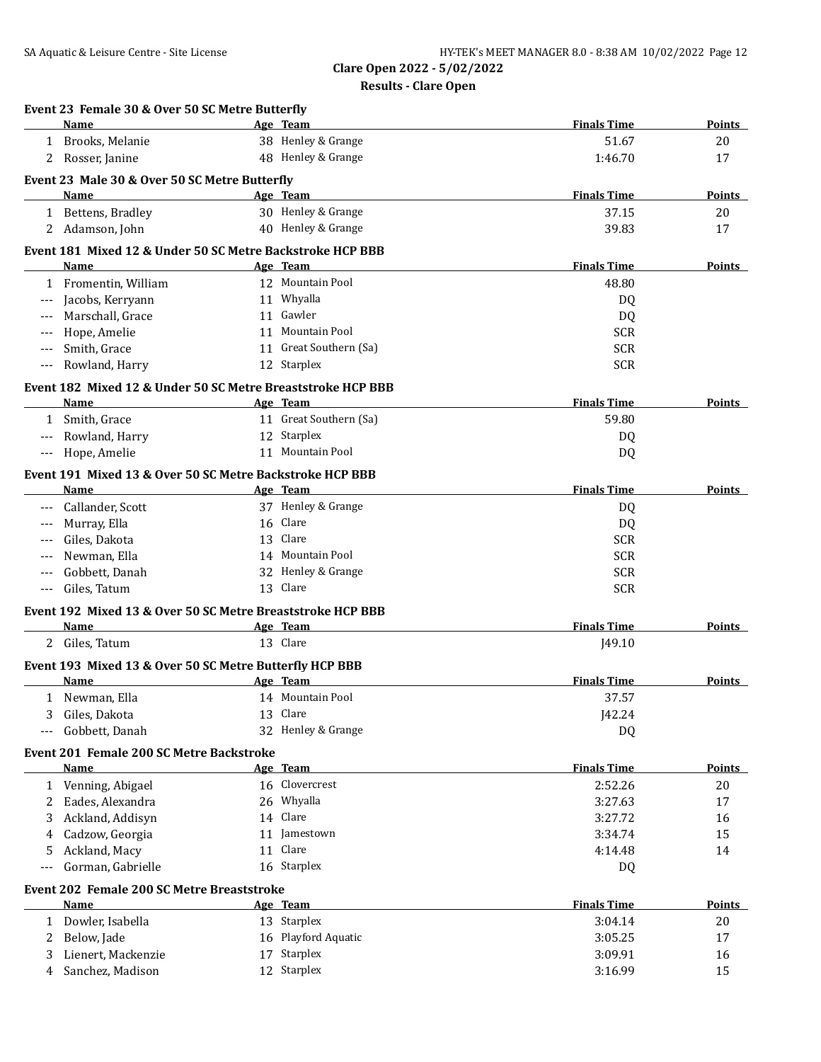|   | Event 23 Female 30 & Over 50 SC Metre Butterfly<br>Name            | Age Team               | <b>Finals Time</b> | Points        |
|---|--------------------------------------------------------------------|------------------------|--------------------|---------------|
| 1 | Brooks, Melanie                                                    | 38 Henley & Grange     | 51.67              | 20            |
|   | 2 Rosser, Janine                                                   | 48 Henley & Grange     | 1:46.70            | 17            |
|   | Event 23 Male 30 & Over 50 SC Metre Butterfly                      |                        |                    |               |
|   | <b>Name</b>                                                        | Age Team               | <b>Finals Time</b> | <b>Points</b> |
|   | 1 Bettens, Bradley                                                 | 30 Henley & Grange     | 37.15              | 20            |
|   | 2 Adamson, John                                                    | 40 Henley & Grange     | 39.83              | 17            |
|   |                                                                    |                        |                    |               |
|   | Event 181 Mixed 12 & Under 50 SC Metre Backstroke HCP BBB          |                        |                    |               |
|   | Name                                                               | Age Team               | <b>Finals Time</b> | Points        |
| 1 | Fromentin, William                                                 | 12 Mountain Pool       | 48.80              |               |
|   | Jacobs, Kerryann                                                   | 11 Whyalla             | DQ                 |               |
|   | Marschall, Grace                                                   | 11 Gawler              | DQ                 |               |
|   | Hope, Amelie                                                       | 11 Mountain Pool       | <b>SCR</b>         |               |
|   | Smith, Grace                                                       | 11 Great Southern (Sa) | <b>SCR</b>         |               |
|   | Rowland, Harry                                                     | 12 Starplex            | <b>SCR</b>         |               |
|   | Event 182 Mixed 12 & Under 50 SC Metre Breaststroke HCP BBB        |                        |                    |               |
|   | Name                                                               | Age Team               | <b>Finals Time</b> | Points        |
|   | 1 Smith, Grace                                                     | 11 Great Southern (Sa) | 59.80              |               |
|   | Rowland, Harry                                                     | 12 Starplex            | DQ                 |               |
|   | Hope, Amelie                                                       | 11 Mountain Pool       | DQ                 |               |
|   | Event 191 Mixed 13 & Over 50 SC Metre Backstroke HCP BBB           |                        |                    |               |
|   | Name                                                               | Age Team               | <b>Finals Time</b> | Points        |
|   | Callander, Scott                                                   | 37 Henley & Grange     | DQ                 |               |
|   | Murray, Ella                                                       | 16 Clare               | DQ                 |               |
|   | Giles, Dakota                                                      | 13 Clare               | <b>SCR</b>         |               |
|   | Newman, Ella                                                       | 14 Mountain Pool       | <b>SCR</b>         |               |
|   | Gobbett, Danah                                                     | 32 Henley & Grange     | <b>SCR</b>         |               |
|   | Giles, Tatum                                                       | 13 Clare               | <b>SCR</b>         |               |
|   |                                                                    |                        |                    |               |
|   | Event 192 Mixed 13 & Over 50 SC Metre Breaststroke HCP BBB<br>Name | Age Team               | <b>Finals Time</b> | <b>Points</b> |
|   | 2 Giles, Tatum                                                     | 13 Clare               | J49.10             |               |
|   |                                                                    |                        |                    |               |
|   | Event 193 Mixed 13 & Over 50 SC Metre Butterfly HCP BBB            |                        |                    |               |
|   | Name                                                               | Age Team               | <b>Finals Time</b> | Points        |
|   | 1 Newman, Ella                                                     | 14 Mountain Pool       | 37.57              |               |
| 3 | Giles, Dakota                                                      | 13 Clare               | J42.24             |               |
|   | Gobbett, Danah                                                     | 32 Henley & Grange     | DQ                 |               |
|   | Event 201 Female 200 SC Metre Backstroke                           |                        |                    |               |
|   | Name                                                               | Age Team               | <b>Finals Time</b> | <b>Points</b> |
|   | 1 Venning, Abigael                                                 | 16 Clovercrest         | 2:52.26            | 20            |
|   | 2 Eades, Alexandra                                                 | 26 Whyalla             | 3:27.63            | 17            |
| 3 | Ackland, Addisyn                                                   | 14 Clare               | 3:27.72            | 16            |
| 4 | Cadzow, Georgia                                                    | 11 Jamestown           | 3:34.74            | 15            |
| 5 | Ackland, Macy                                                      | 11 Clare               | 4:14.48            | 14            |
|   | Gorman, Gabrielle                                                  | 16 Starplex            | DQ                 |               |
|   | Event 202 Female 200 SC Metre Breaststroke                         |                        |                    |               |
|   | Name                                                               | Age Team               | <b>Finals Time</b> | <b>Points</b> |
| 1 | Dowler, Isabella                                                   | 13 Starplex            | 3:04.14            | 20            |
| 2 | Below, Jade                                                        | 16 Playford Aquatic    | 3:05.25            | 17            |
|   |                                                                    | 17 Starplex            | 3:09.91            | 16            |
| 3 | Lienert, Mackenzie                                                 |                        |                    |               |